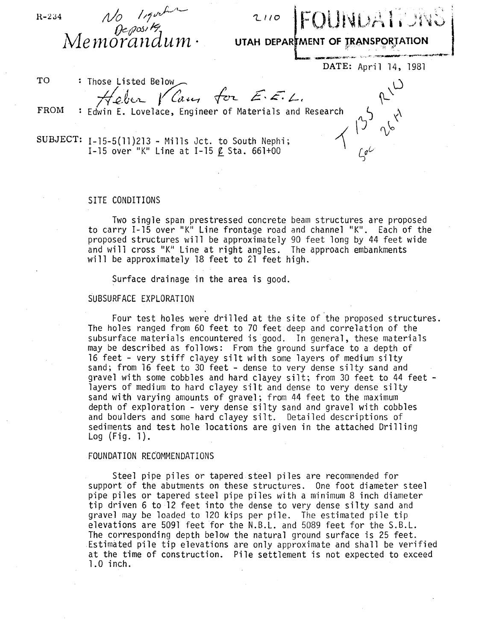$R - 234$ 

No Ingulation

 $2110$   $|F以UA$ 

**UTAH DEPAR MENT OF TRANSPORTATION** 

DATE: April 14, 1981

 $\int e^{\mathcal{L}}$ 

 $\omega$ 

 $\lambda_{\ell}$ 

 $\gamma$ 

TO FROM : Those Listed Below  $H$ eber V Cam for  $E.E.L.$ : Edwin E. Lovelace, Engineer of Materials and Research  $\frac{1}{2}$ 

SUBJECT: 1-15-5(11)213 - Mills Jct. to South Nephi; I-15 over "K" Line at I-15  $\ell$  Sta. 661+00

## SITE CONDITIONS

Two single span prestressed concrete beam structures are proposed to carry 1-15 over "K" Line frontage road and channel "K". Each of the proposed structures will be approximately 90 feet long by 44 feet wide and will cross "K" Line at right angles. The approach embankments will be approximately 18 feet to 21 feet high.

Surface drainage in the area is good.

## SUBSURFACE EXPLORATION

Four test holes were drilled at the site of the proposed structures. The holes ranged from 60 feet to 70 feet deep and correlation of the subsurface materials encountered is good. In general, these materials may be described as follows: From the ground surface to a depth of<br>16 feet - very stiff clayey silt with some layers of medium silty sand; from 16 feet to 30 feet - dense to very dense silty sand and gravel with some cobbles and hard clayey silt; from 30 feet to 44 feet - layers of medium to hard clayey silt and dense to very dense silty sand with varying amounts of gravel; from 44 feet to the maximum depth of exploration - very dense silty sand and gravel with cobbles and boulders and some hard clayey silt. Detailed descriptions of sediments and test hole locations are given in the attached Drilling Log (Fig. 1).

## FOUNDATION RECOMMENDATIONS

Steel pipe piles or tapered steel piles are recommended for support of the abutments on these structures. One foot diameter steel pipe piles or tapered steel pipe piles with a minimum 8 inch diameter tip driven 6 to 12 feet into the dense to very dense silty sand and gravel may *be* loaded to 120 kips per pile. The estimated pile tip elevations are 5091 feet for the N.B.L. and 5089 feet for the S.B.L. The corresponding depth below the natural ground surface is 25 feet. Estimated pile tip elevations are only approximate and shall be verified at the time of construction. Pile settlement is not expected to exceed 1.0 inch.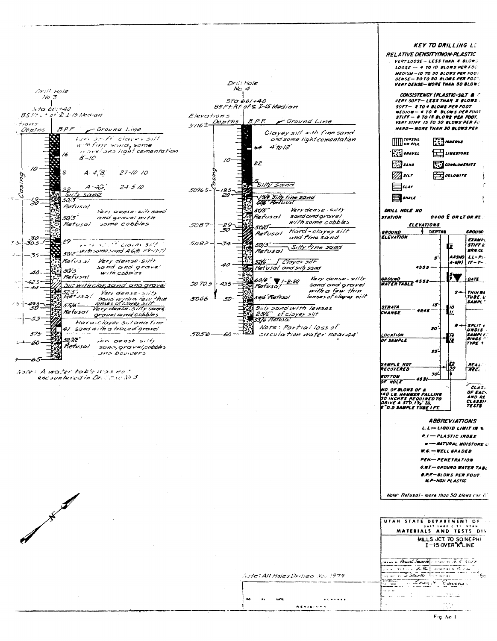| Drill Hole<br>No 3<br>Sta.661+40<br>$85F + 72F$ B Median<br>$7 + 10115$<br>BPF<br>Deptns<br>- Ground Line<br><i>Veri stift clavel silt</i><br>if the fine sand, some<br>n avei ana light cementation<br>16<br>$8 - 10$<br>10<br>$27 - 10$ 10<br>A.4.8<br>Cosing<br>$24 - 510$<br>$A$ - $\tilde{\mathcal{A}}$ is,<br>sand<br>57,<br>50/3<br>-13-<br>Refusal<br>Vari dense sitt sand<br>50'3'<br>and grovel with<br>some cobbles<br>Refusal<br>-30<br>-305<br>29<br>احڪٽ<br>ren shirt closer sill<br>5012 With some sand A60 29-11-17<br>35<br>Refusal Very dense siltr<br>sand and grave!<br>50/5<br>40.<br>with cobbies<br>Refusal<br>425<br><u>Sii: with clay sand and grovel</u><br>525".<br>Refysal<br>Very dense-silty<br>sono with a few thin<br>49.5<br>50<br>55/6 -<br>Very danse-silty sama,<br>Refusal<br>gravel and cobbles<br>53<br>Hara-cloyev sitanatine<br>41 sanci with a trace of gravel<br>575<br>50.WC*<br>veri canse silty<br>60<br>Refusal<br>sano, grave/, cobbles<br>JHO boulders<br>Aste: A water toble ups not<br>encountered in Dr. Cone 163 | Dri'l Hole<br>No. 4<br>Sta 66/+40<br>85 Ft Rt of & I-15 Medion<br>Elevations<br><b>B.P.F.</b> Foround Line<br>$5716 + \frac{Depths}{2}$<br>Clayey silt with fine sand<br>and some light cementation<br>$4'$ to 12'<br>64<br>10<br>22<br>Silty sand<br>50965-<br>-25<br>- 20<br>/516"Silly fine sand<br>GOB" Refusol<br>Very dense - silty<br>505'<br>sand and oravel<br>Refusal<br>with some cobbles<br>5087-<br>-29<br>.30<br>5010'-<br>Hard-clayey silt<br>Refusol<br>and fine sand<br>5082-<br>-34<br>50/3.<br>Silty fine sand<br>Refusal<br><u>5216" -</u> [ Clayev silF<br>Fiet usal and silty sand<br>40<br>Very dense-silty<br>$60/6$ $7 - 8.80$<br>50 70.5-<br>455<br>sand and grave!<br>Batusa!<br>with a few thin<br>lenses of clayey silt<br>546 Refusal<br>5066<br>Siity sand with lenses<br>2516" of ciayer silt<br>53/6 Retusal<br>Note: Partial loss of<br>circulation water near44'<br>5056<br>60<br>$\sim$ | KEY TO DRILLING LE<br>RELATIVE DENSITYINON-PLASTIC<br>VERY LOOSE - LESS THAN 4 BLOWS<br>LOOSE - 4 TO 10 BLOWS PER FOC<br>MEDIUM - 10 TO 30 BLOWS PER FOOT<br>DENSE-301050 BLOWS PER FOOT.<br>VERY DENSE- MORE THAN 50 BLOW:<br>CONSISTENCY (PLASTIC-SILT & C<br>VERY SOFT— LESS THAN 2 BLOWS<br>SOFT- 2 TO 4 BLOWS PER FOOT.<br>MEDIUM - 4 TO 8 BLOWS PER FOOT<br>STIFF- & TO IS BLOWS PER FOOT.<br>VERY STIFF 15 TO 30 BLOWS PER FC<br>HARD- MORE THAN 30 BLOWS PER<br>$\lim_{\alpha \to \infty}$<br><b>NAEOUS</b><br>$\left[\begin{smallmatrix}\n\cdot & \cdot \\ \cdot & \cdot \\ \cdot & \cdot\n\end{smallmatrix}\right]$ or ave $L$<br>$\pm$ $\pm$ $\mu$ $\mu$ $\mu$ $\sigma$ $\sigma$ $\sigma$ $\sigma$<br>$\mathbb{Z}$ sano<br><b>FIN CONGLOWERATE</b><br>$\mathbb{Z}$ sur<br>$\leftarrow$<br>⊨aur<br><b>Expanding SMALE</b><br>DRILL HOLE NO<br><b>O+OO E OR LT OR AT</b><br><i><b>STATION</b></i><br><b>ELEVATIONS</b><br><b>DEPTHS</b><br><i><b>GROUND</b></i><br><b>GROUND</b><br><b>ELEVATION</b><br><b>EXAMPL</b><br><b>STIFF L'</b><br>Œ<br><b>BRN.CL.</b><br>$AASMO 1 L - P$<br>s<br>A-641   17 - 7- .<br>$4555 -$<br>۶٦<br>GROUND<br>DATE<br>4552-<br><b>WATER TABLE</b><br>$5-$<br>THIN WA<br>TVBE.U<br><b>SAMPL</b><br>15<br><b>STRATA</b><br>10<br>4546<br>77<br>CHANGE<br><b>SPLIT t</b><br>R<br>20<br>UNDIS.<br>LOCATION<br><b>SAMPLE</b><br>RINGS C<br>OF SAMPLE<br>TYPE <sup>?</sup><br>25-<br>$\frac{1}{30}$<br><b>SAMPLE NOT</b><br><b>REAS</b><br>RECOVERED<br><b>REG</b><br>30.<br><b>BOTTOM</b><br>4531<br><b>DF HOLE</b><br>CLAS<br>NO. OF BLOWS OF A<br>OF EACH<br>140 LE. NAMMER FA<br>AND RE<br><b>30 INCHES REQUIRED TO</b><br>DRIVE A STD. 14 <sub>8</sub> ID,<br>CLASSI!<br><b>TESTE</b><br>"O.D SAMPLE TUBE I FT.<br><i><b>ABBREVIATIONS</b></i><br>$L.L \rightarrow L1QUID L1HITIR$ |
|-----------------------------------------------------------------------------------------------------------------------------------------------------------------------------------------------------------------------------------------------------------------------------------------------------------------------------------------------------------------------------------------------------------------------------------------------------------------------------------------------------------------------------------------------------------------------------------------------------------------------------------------------------------------------------------------------------------------------------------------------------------------------------------------------------------------------------------------------------------------------------------------------------------------------------------------------------------------------------------------------------------------------------------------------------------------------|-----------------------------------------------------------------------------------------------------------------------------------------------------------------------------------------------------------------------------------------------------------------------------------------------------------------------------------------------------------------------------------------------------------------------------------------------------------------------------------------------------------------------------------------------------------------------------------------------------------------------------------------------------------------------------------------------------------------------------------------------------------------------------------------------------------------------------------------------------------------------------------------------------------------------------|--------------------------------------------------------------------------------------------------------------------------------------------------------------------------------------------------------------------------------------------------------------------------------------------------------------------------------------------------------------------------------------------------------------------------------------------------------------------------------------------------------------------------------------------------------------------------------------------------------------------------------------------------------------------------------------------------------------------------------------------------------------------------------------------------------------------------------------------------------------------------------------------------------------------------------------------------------------------------------------------------------------------------------------------------------------------------------------------------------------------------------------------------------------------------------------------------------------------------------------------------------------------------------------------------------------------------------------------------------------------------------------------------------------------------------------------------------------------------------------------------------------------------------------------------------------------------------------------------------------------------------------------------------------------------------------------------------------------------------------------------------------------------------------------------------------------------|
|                                                                                                                                                                                                                                                                                                                                                                                                                                                                                                                                                                                                                                                                                                                                                                                                                                                                                                                                                                                                                                                                       |                                                                                                                                                                                                                                                                                                                                                                                                                                                                                                                                                                                                                                                                                                                                                                                                                                                                                                                             | P.I - PLASTIC INDEX<br><b>W-BATURAL MOISTURE C.</b><br><b>W.G.-WELL GRADED</b><br><b>PEN-PENETRATION</b><br><b>G.W.T. - GROUND WATER TABL</b><br>B.P.F-BLOWS PER FOOT.<br><b>M.P-NON PLASTIC</b><br>Note: Refusal-more than 50 blows rer E                                                                                                                                                                                                                                                                                                                                                                                                                                                                                                                                                                                                                                                                                                                                                                                                                                                                                                                                                                                                                                                                                                                                                                                                                                                                                                                                                                                                                                                                                                                                                                               |

Aste: All Holes Drilled Nov 1979

**REVISIONS** 

w

ı. .,  $\ldots$ 

| UTAH STATE DEPARTMENT OF                         |
|--------------------------------------------------|
|                                                  |
| MATERIALS AND TESTS DIV                          |
| MILLS JCT. TO SONE PHI<br>$I-15$ OVER" $K$ "LINE |
| money or Band C. Searle Commercial 3- R. Stier   |
| $L$ and $L$ and $L$ is a summer in Partial       |
| - S. SAXARI THERESAY                             |
| ومناصبته المردود<br>المكدمات                     |
|                                                  |
|                                                  |
|                                                  |

ł

 $\mathsf{F}\mathsf{g}$  Ne  $\mathsf{f}$